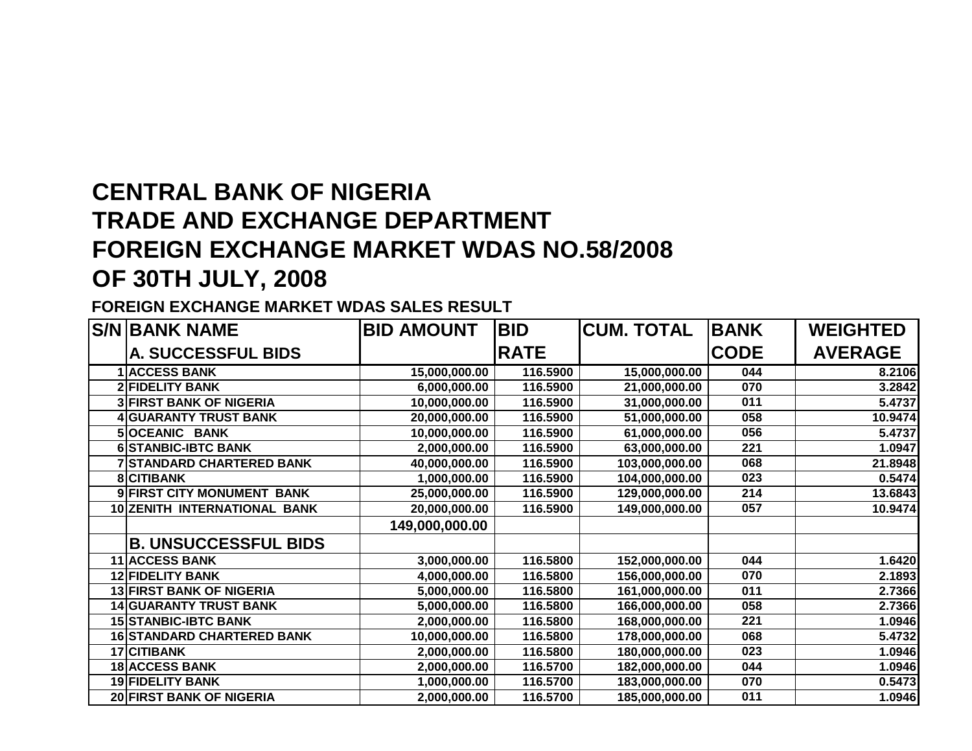# **CENTRAL BANK OF NIGERIA TRADE AND EXCHANGE DEPARTMENT FOREIGN EXCHANGE MARKET WDAS NO.58/2008OF 30TH JULY, 2008**

### **FOREIGN EXCHANGE MARKET WDAS SALES RESULT**

|   | <b>S/N BANK NAME</b>              | <b>BID AMOUNT</b> | <b>BID</b>  | <b>CUM. TOTAL</b> | <b>BANK</b> | <b>WEIGHTED</b> |
|---|-----------------------------------|-------------------|-------------|-------------------|-------------|-----------------|
|   | <b>A. SUCCESSFUL BIDS</b>         |                   | <b>RATE</b> |                   | <b>CODE</b> | <b>AVERAGE</b>  |
|   | <b>ACCESS BANK</b>                | 15,000,000.00     | 116.5900    | 15,000,000.00     | 044         | 8.2106          |
|   | <b>2 FIDELITY BANK</b>            | 6,000,000.00      | 116.5900    | 21,000,000.00     | 070         | 3.2842          |
|   | <b>3 FIRST BANK OF NIGERIA</b>    | 10,000,000.00     | 116.5900    | 31,000,000.00     | 011         | 5.4737          |
|   | <b>4 GUARANTY TRUST BANK</b>      | 20,000,000.00     | 116.5900    | 51,000,000.00     | 058         | 10.9474         |
|   | 5 OCEANIC BANK                    | 10,000,000.00     | 116.5900    | 61,000,000.00     | 056         | 5.4737          |
| 6 | <b>STANBIC-IBTC BANK</b>          | 2,000,000.00      | 116.5900    | 63,000,000.00     | 221         | 1.0947          |
|   | <b>STANDARD CHARTERED BANK</b>    | 40,000,000.00     | 116.5900    | 103,000,000.00    | 068         | 21.8948         |
| 8 | <b>CITIBANK</b>                   | 1,000,000.00      | 116.5900    | 104,000,000.00    | 023         | 0.5474          |
| 9 | <b>FIRST CITY MONUMENT BANK</b>   | 25,000,000.00     | 116.5900    | 129,000,000.00    | 214         | 13.6843         |
|   | 10 ZENITH INTERNATIONAL BANK      | 20,000,000.00     | 116.5900    | 149,000,000.00    | 057         | 10.9474         |
|   |                                   | 149,000,000.00    |             |                   |             |                 |
|   | <b>B. UNSUCCESSFUL BIDS</b>       |                   |             |                   |             |                 |
|   | <b>11 ACCESS BANK</b>             | 3,000,000.00      | 116.5800    | 152,000,000.00    | 044         | 1.6420          |
|   | <b>12 FIDELITY BANK</b>           | 4,000,000.00      | 116.5800    | 156,000,000.00    | 070         | 2.1893          |
|   | <b>13 FIRST BANK OF NIGERIA</b>   | 5,000,000.00      | 116.5800    | 161,000,000.00    | 011         | 2.7366          |
|   | <b>14 GUARANTY TRUST BANK</b>     | 5,000,000.00      | 116.5800    | 166,000,000.00    | 058         | 2.7366          |
|   | <b>15 STANBIC-IBTC BANK</b>       | 2,000,000.00      | 116.5800    | 168,000,000.00    | 221         | 1.0946          |
|   | <b>16 STANDARD CHARTERED BANK</b> | 10,000,000.00     | 116.5800    | 178,000,000.00    | 068         | 5.4732          |
|   | 17 CITIBANK                       | 2,000,000.00      | 116.5800    | 180,000,000.00    | 023         | 1.0946          |
|   | <b>18 ACCESS BANK</b>             | 2,000,000.00      | 116.5700    | 182,000,000.00    | 044         | 1.0946          |
|   | <b>19 FIDELITY BANK</b>           | 1,000,000.00      | 116.5700    | 183,000,000.00    | 070         | 0.5473          |
|   | <b>20 FIRST BANK OF NIGERIA</b>   | 2,000,000.00      | 116.5700    | 185,000,000.00    | 011         | 1.0946          |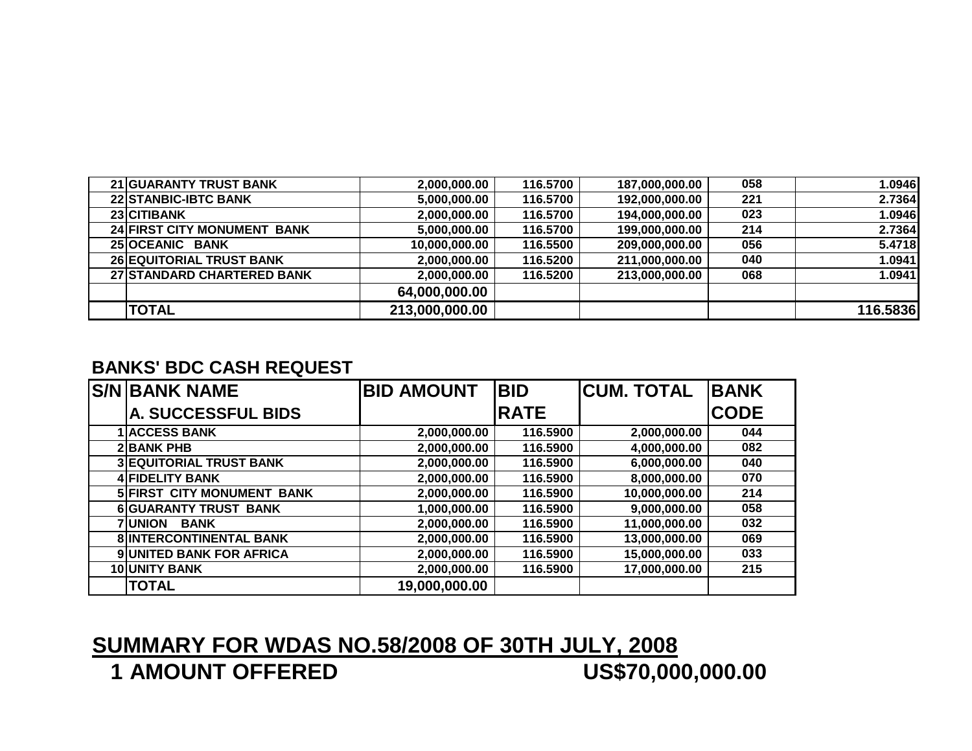| <b>21 GUARANTY TRUST BANK</b>   | 2,000,000.00   | 116.5700 | 187,000,000.00 | 058 | 1.0946   |
|---------------------------------|----------------|----------|----------------|-----|----------|
| <b>22 STANBIC-IBTC BANK</b>     | 5,000,000.00   | 116.5700 | 192,000,000.00 | 221 | 2.7364   |
| 23 CITIBANK                     | 2,000,000.00   | 116.5700 | 194,000,000.00 | 023 | 1.0946   |
| 24 FIRST CITY MONUMENT BANK     | 5,000,000.00   | 116.5700 | 199,000,000.00 | 214 | 2.7364   |
| 25 OCEANIC BANK                 | 10,000,000.00  | 116.5500 | 209,000,000.00 | 056 | 5.4718   |
| <b>26 EQUITORIAL TRUST BANK</b> | 2,000,000.00   | 116.5200 | 211,000,000.00 | 040 | 1.0941   |
| 27 STANDARD CHARTERED BANK      | 2,000,000.00   | 116.5200 | 213,000,000.00 | 068 | 1.0941   |
|                                 | 64,000,000.00  |          |                |     |          |
| <b>TOTAL</b>                    | 213,000,000.00 |          |                |     | 116.5836 |

## **BANKS' BDC CASH REQUEST**

| <b>S/N BANK NAME</b>              | <b>BID AMOUNT</b> | <b>BID</b>  | <b>CUM. TOTAL</b> | <b>IBANK</b> |
|-----------------------------------|-------------------|-------------|-------------------|--------------|
| <b>A. SUCCESSFUL BIDS</b>         |                   | <b>RATE</b> |                   | <b>CODE</b>  |
| <b>ACCESS BANK</b>                | 2,000,000.00      | 116.5900    | 2,000,000.00      | 044          |
| <b>2 BANK PHB</b>                 | 2,000,000.00      | 116.5900    | 4,000,000.00      | 082          |
| <b>3 EQUITORIAL TRUST BANK</b>    | 2,000,000.00      | 116.5900    | 6,000,000.00      | 040          |
| <b>4 FIDELITY BANK</b>            | 2,000,000.00      | 116.5900    | 8,000,000.00      | 070          |
| <b>5 FIRST CITY MONUMENT BANK</b> | 2,000,000.00      | 116.5900    | 10,000,000.00     | 214          |
| <b>6 GUARANTY TRUST BANK</b>      | 1,000,000.00      | 116.5900    | 9,000,000.00      | 058          |
| <b>7 UNION</b><br><b>BANK</b>     | 2,000,000.00      | 116.5900    | 11,000,000.00     | 032          |
| 8 INTERCONTINENTAL BANK           | 2,000,000.00      | 116.5900    | 13,000,000.00     | 069          |
| 9 UNITED BANK FOR AFRICA          | 2,000,000.00      | 116.5900    | 15,000,000.00     | 033          |
| 10 UNITY BANK                     | 2,000,000.00      | 116.5900    | 17,000,000.00     | 215          |
| <b>TOTAL</b>                      | 19,000,000.00     |             |                   |              |

### **SUMMARY FOR WDAS NO.58/2008 OF 30TH JULY, 2008**US\$70,000,000.00 **1 AMOUNT OFFERED**